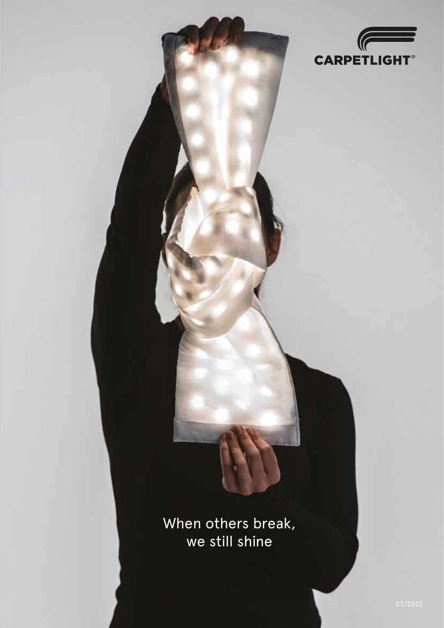

When others break, we still shine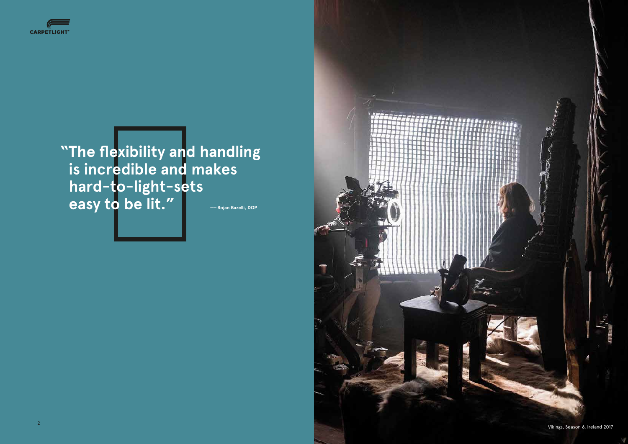



**"The flexibility and handling is incredible and makes hard-to-light-sets easy to be lit." Letter Solan Bazelli, Dop** 

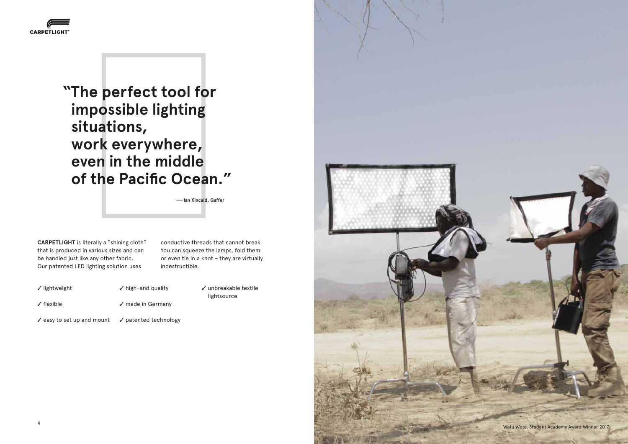Watu Wote, Student Academy Award Winner 2017





 **—— Ian Kincaid, Gaffer**

**CARPETLIGHT** is literally a "shining cloth" that is produced in various sizes and can be handled just like any other fabric. Our patented LED lighting solution uses

> $\checkmark$  unbreakable textile lightsource

 $\checkmark$  easy to set up and mount

 $\checkmark$  patented technology



conductive threads that cannot break. You can squeeze the lamps, fold them or even tie in a knot – they are virtually indestructible.

- $\checkmark$  lightweight  $\checkmark$  high-end quality
- $\sqrt{\frac{f}{f}}$  flexible

 $\sqrt{m}$ ade in Germany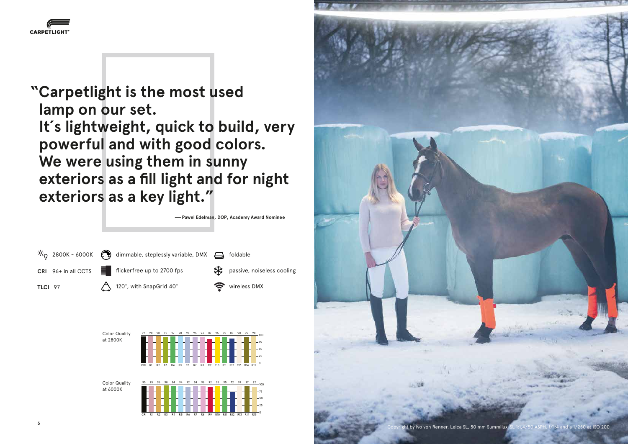by Ivo von Renner. Leica SL, 50 mm Summilux-SL 1:1,4/50 ASPH. f/1;4 and a 1/250 at ISO 200







**"Carpetlight is the most used lamp on our set. It´s lightweight, quick to build, very powerful and with good colors. We were using them in sunny exteriors as a fill light and for night exteriors as a key light."** 

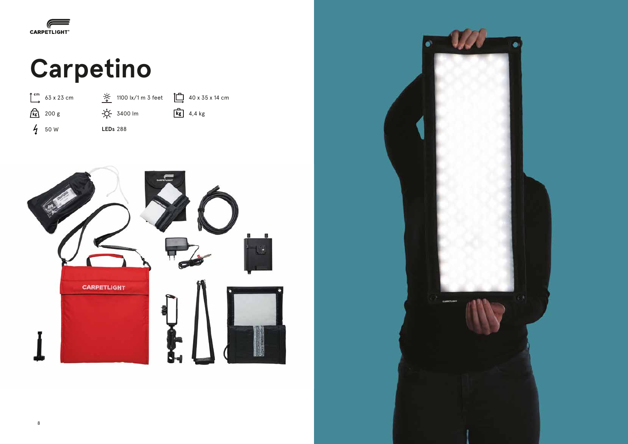

### **Carpetino**





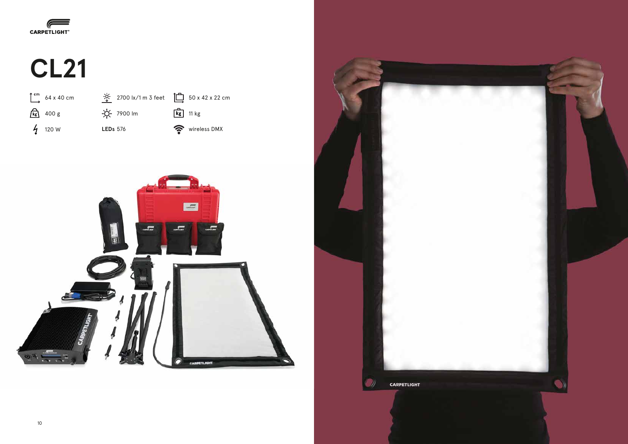





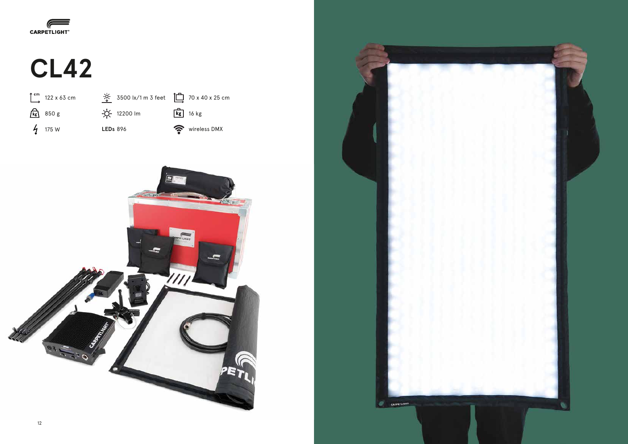





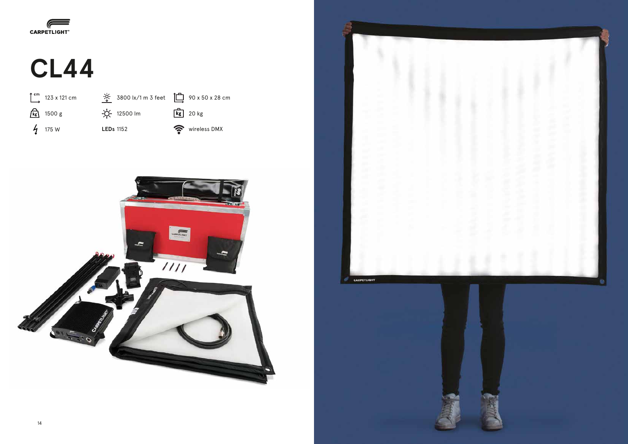





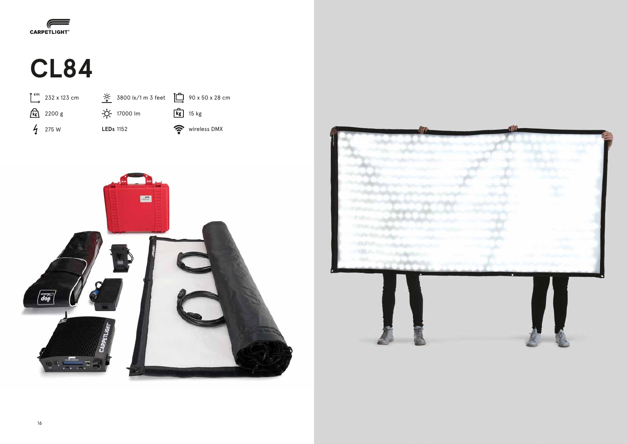







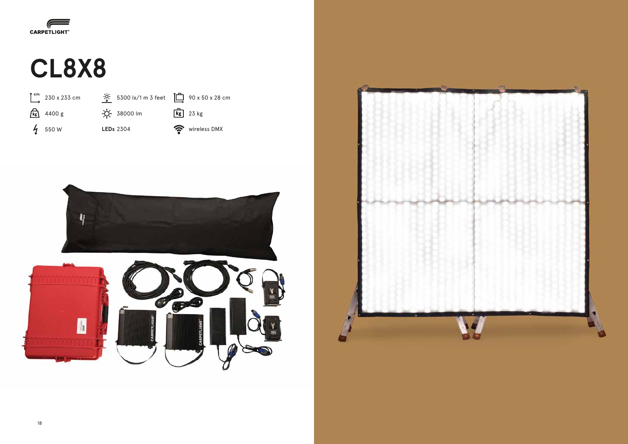

## **CL8X8**





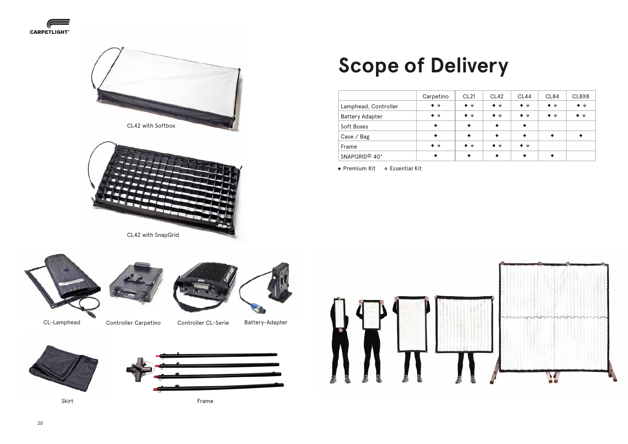CL42 with SnapGrid











- 
- CL-Lamphead Controller Carpetino Controller CL-Serie







Frame









|                           | Carpetino         | CL <sub>21</sub>  | <b>CL42</b>       | CL44              | <b>CL84</b>       | CL8X8       |
|---------------------------|-------------------|-------------------|-------------------|-------------------|-------------------|-------------|
| Lamphead, Controller      | $\bullet$ $\circ$ | $\bullet$ o       | $\bullet$ o       | $\bullet$ $\circ$ | $\bullet$ o       | $\bullet$ 0 |
| <b>Battery Adapter</b>    | $\bullet$ $\circ$ | $\bullet$ $\circ$ | $\bullet$ $\circ$ | $\bullet$ $\circ$ | $\bullet$ $\circ$ | $\bullet$ o |
| Soft Boxes                | $\bullet$         | $\bullet$         | $\bullet$         | $\bullet$         |                   |             |
| Case / Bag                | $\bullet$         | $\bullet$         | $\bullet$         | $\bullet$         | $\bullet$         |             |
| Frame                     | $\bullet$ $\circ$ | $\bullet$ $\circ$ | $\bullet$ $\circ$ | $\bullet$ $\circ$ |                   |             |
| SNAPGRID <sup>©</sup> 40° | $\bullet$         | $\bullet$         | $\bullet$         | $\bullet$         |                   |             |

• Premium Kit • Essential Kit

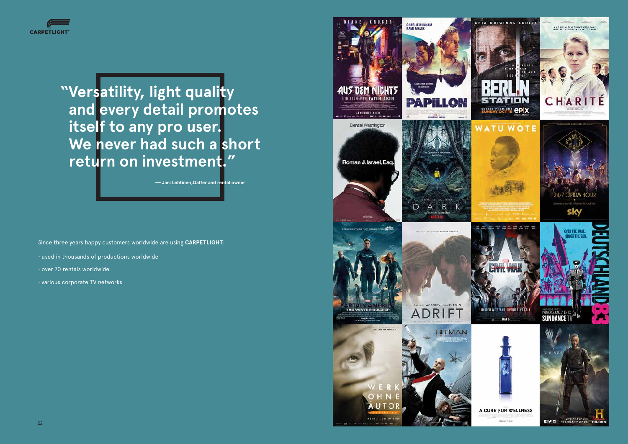Since three years happy customers worldwide are using **CARPETLIGHT**:



**"Versatility, light quality and every detail promotes itself to any pro user. We never had such a short return on investment."**

 **—— Jani Lehtinen,Gaffer and rental owner**

- used in thousands of productions worldwide
- over 70 rentals worldwide
- various corporate TV networks